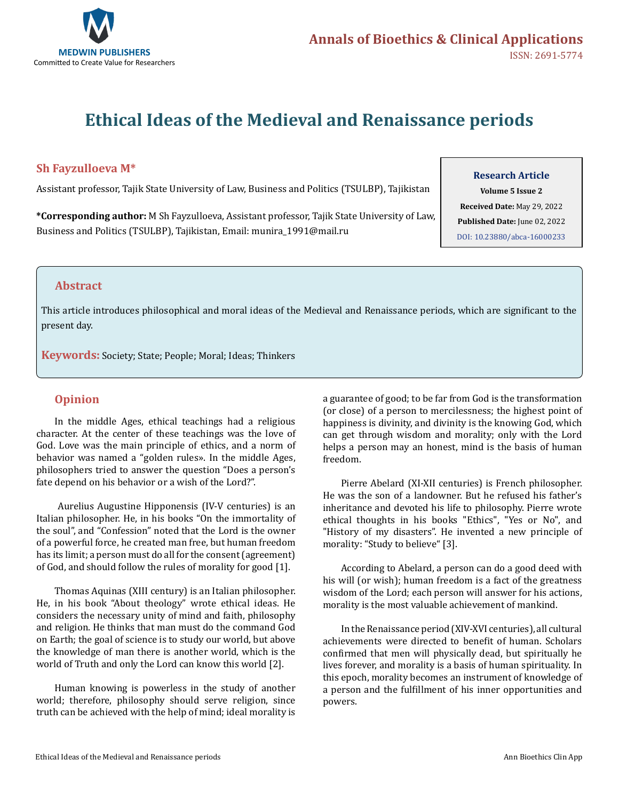

# **Ethical Ideas of the Medieval and Renaissance periods**

## **Sh Fayzulloeva M\***

Assistant professor, Tajik State University of Law, Business and Politics (TSULBP), Tajikistan

**\*Corresponding author:** M Sh Fayzulloeva, Assistant professor, Tajik State University of Law, Business and Politics (TSULBP), Tajikistan, Email: munira\_1991@mail.ru

#### **Research Article**

**Volume 5 Issue 2 Received Date:** May 29, 2022 **Published Date:** June 02, 2022 [DOI: 10.23880/abca-16000233](https://doi.org/10.23880/abca-16000233)

#### **Abstract**

This article introduces philosophical and moral ideas of the Medieval and Renaissance periods, which are significant to the present day.

**Keywords:** Society; State; People; Moral; Ideas; Thinkers

## **Opinion**

In the middle Ages, ethical teachings had a religious character. At the center of these teachings was the love of God. Love was the main principle of ethics, and a norm of behavior was named a "golden rules». In the middle Ages, philosophers tried to answer the question "Does a person's fate depend on his behavior or a wish of the Lord?".

 Aurelius Augustine Hipponensis (IV-V centuries) is an Italian philosopher. He, in his books "On the immortality of the soul", and "Confession" noted that the Lord is the owner of a powerful force, he created man free, but human freedom has its limit; a person must do all for the consent (agreement) of God, and should follow the rules of morality for good [1].

Thomas Aquinas (XIII century) is an Italian philosopher. He, in his book "About theology" wrote ethical ideas. He considers the necessary unity of mind and faith, philosophy and religion. He thinks that man must do the command God on Earth; the goal of science is to study our world, but above the knowledge of man there is another world, which is the world of Truth and only the Lord can know this world [2].

Human knowing is powerless in the study of another world; therefore, philosophy should serve religion, since truth can be achieved with the help of mind; ideal morality is

a guarantee of good; to be far from God is the transformation (or close) of a person to mercilessness; the highest point of happiness is divinity, and divinity is the knowing God, which can get through wisdom and morality; only with the Lord helps a person may an honest, mind is the basis of human freedom.

Pierre Abelard (XI-XII centuries) is French philosopher. He was the son of a landowner. But he refused his father's inheritance and devoted his life to philosophy. Pierre wrote ethical thoughts in his books "Ethics", "Yes or No", and "History of my disasters". He invented a new principle of morality: "Study to believe" [3].

According to Abelard, a person can do a good deed with his will (or wish); human freedom is a fact of the greatness wisdom of the Lord; each person will answer for his actions, morality is the most valuable achievement of mankind.

In the Renaissance period (XIV-XVI centuries), all cultural achievements were directed to benefit of human. Scholars confirmed that men will physically dead, but spiritually he lives forever, and morality is a basis of human spirituality. In this epoch, morality becomes an instrument of knowledge of a person and the fulfillment of his inner opportunities and powers.